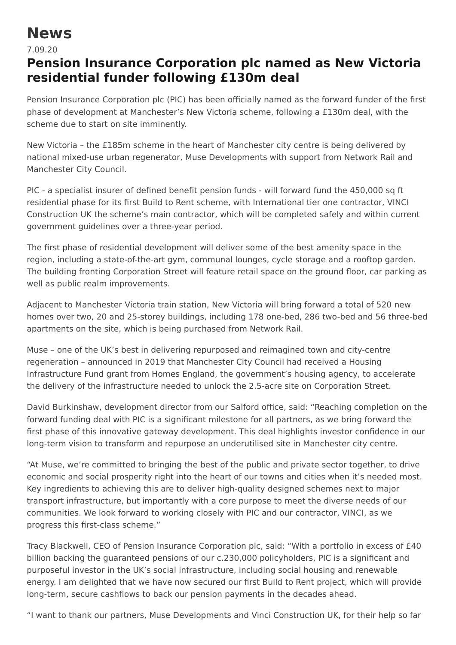## **News**

## 7.09.20

## **Pension Insurance Corporation plc named as New Victoria residential funder following £130m deal**

Pension Insurance Corporation plc (PIC) has been officially named as the forward funder of the first phase of development at Manchester's New Victoria scheme, following a £130m deal, with the scheme due to start on site imminently.

New Victoria – the £185m scheme in the heart of Manchester city centre is being delivered by national mixed-use urban regenerator, Muse Developments with support from Network Rail and Manchester City Council.

PIC - a specialist insurer of defined benefit pension funds - will forward fund the 450,000 sq ft residential phase for its first Build to Rent scheme, with International tier one contractor, VINCI Construction UK the scheme's main contractor, which will be completed safely and within current government guidelines over a three-year period.

The first phase of residential development will deliver some of the best amenity space in the region, including a state-of-the-art gym, communal lounges, cycle storage and a rooftop garden. The building fronting Corporation Street will feature retail space on the ground floor, car parking as well as public realm improvements.

Adjacent to Manchester Victoria train station, New Victoria will bring forward a total of 520 new homes over two, 20 and 25-storey buildings, including 178 one-bed, 286 two-bed and 56 three-bed apartments on the site, which is being purchased from Network Rail.

Muse – one of the UK's best in delivering repurposed and reimagined town and city-centre regeneration – announced in 2019 that Manchester City Council had received a Housing Infrastructure Fund grant from Homes England, the government's housing agency, to accelerate the delivery of the infrastructure needed to unlock the 2.5-acre site on Corporation Street.

David Burkinshaw, development director from our Salford office, said: "Reaching completion on the forward funding deal with PIC is a significant milestone for all partners, as we bring forward the first phase of this innovative gateway development. This deal highlights investor confidence in our long-term vision to transform and repurpose an underutilised site in Manchester city centre.

"At Muse, we're committed to bringing the best of the public and private sector together, to drive economic and social prosperity right into the heart of our towns and cities when it's needed most. Key ingredients to achieving this are to deliver high-quality designed schemes next to major transport infrastructure, but importantly with a core purpose to meet the diverse needs of our communities. We look forward to working closely with PIC and our contractor, VINCI, as we progress this first-class scheme."

Tracy Blackwell, CEO of Pension Insurance Corporation plc, said: "With a portfolio in excess of £40 billion backing the guaranteed pensions of our c.230,000 policyholders, PIC is a significant and purposeful investor in the UK's social infrastructure, including social housing and renewable energy. I am delighted that we have now secured our first Build to Rent project, which will provide long-term, secure cashflows to back our pension payments in the decades ahead.

"I want to thank our partners, Muse Developments and Vinci Construction UK, for their help so far